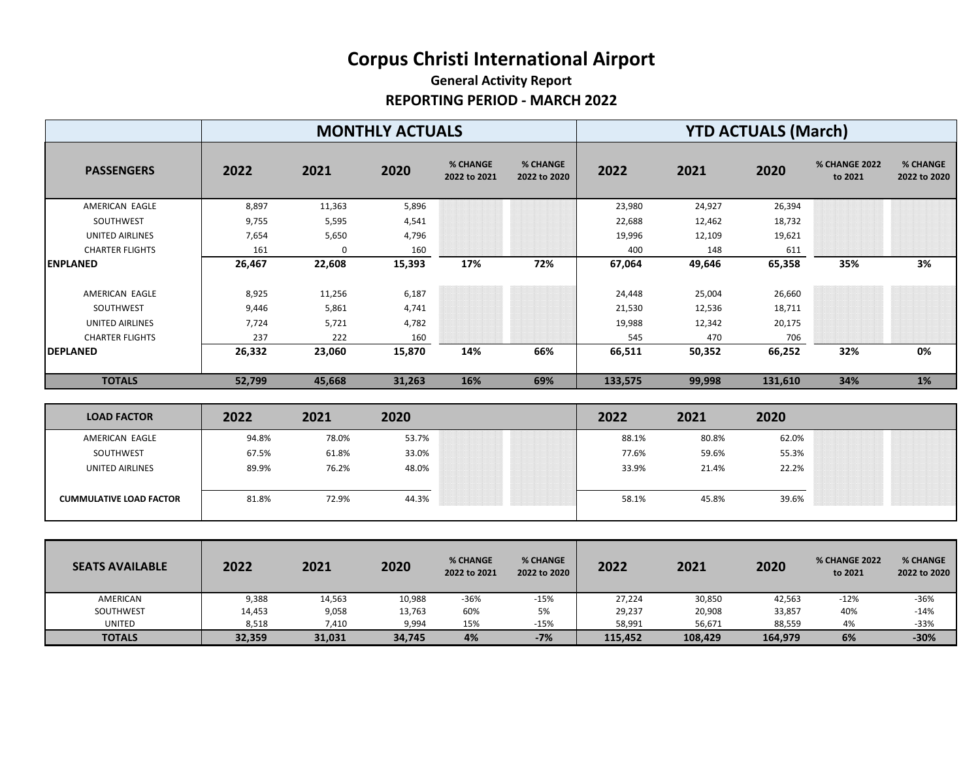## **Corpus Christi International Airport**

## **General Activity Report REPORTING PERIOD - MARCH 2022**

|                        | <b>MONTHLY ACTUALS</b> |             |        |                          |                                 | <b>YTD ACTUALS (March)</b> |        |         |                                 |                          |  |
|------------------------|------------------------|-------------|--------|--------------------------|---------------------------------|----------------------------|--------|---------|---------------------------------|--------------------------|--|
| <b>PASSENGERS</b>      | 2022                   | 2021        | 2020   | % CHANGE<br>2022 to 2021 | <b>% CHANGE</b><br>2022 to 2020 | 2022                       | 2021   | 2020    | <b>% CHANGE 2022</b><br>to 2021 | % CHANGE<br>2022 to 2020 |  |
| AMERICAN EAGLE         | 8,897                  | 11,363      | 5,896  |                          |                                 | 23,980                     | 24,927 | 26,394  |                                 |                          |  |
| SOUTHWEST              | 9,755                  | 5,595       | 4,541  |                          |                                 | 22,688                     | 12,462 | 18,732  |                                 |                          |  |
| UNITED AIRLINES        | 7,654                  | 5,650       | 4,796  |                          |                                 | 19,996                     | 12,109 | 19,621  |                                 |                          |  |
| <b>CHARTER FLIGHTS</b> | 161                    | $\mathbf 0$ | 160    |                          |                                 | 400                        | 148    | 611     |                                 |                          |  |
| <b>ENPLANED</b>        | 26,467                 | 22,608      | 15,393 | 17%                      | 72%                             | 67,064                     | 49,646 | 65,358  | 35%                             | 3%                       |  |
| AMERICAN EAGLE         | 8,925                  | 11,256      | 6,187  |                          |                                 | 24,448                     | 25,004 | 26,660  |                                 |                          |  |
| SOUTHWEST              | 9,446                  | 5,861       | 4,741  |                          |                                 | 21,530                     | 12,536 | 18,711  |                                 |                          |  |
| UNITED AIRLINES        | 7,724                  | 5,721       | 4,782  |                          |                                 | 19,988                     | 12,342 | 20,175  |                                 |                          |  |
| <b>CHARTER FLIGHTS</b> | 237                    | 222         | 160    |                          |                                 | 545                        | 470    | 706     |                                 |                          |  |
| <b>DEPLANED</b>        | 26,332                 | 23,060      | 15,870 | 14%                      | 66%                             | 66,511                     | 50,352 | 66,252  | 32%                             | 0%                       |  |
| <b>TOTALS</b>          | 52,799                 | 45,668      | 31,263 | 16%                      | 69%                             | 133,575                    | 99,998 | 131,610 | 34%                             | 1%                       |  |

| <b>LOAD FACTOR</b>             | 2022  | 2021  | 2020  |                                                                                                                                                                                                                                                                                                                                                                                                                                                                                          | 2022  | 2021  | 2020  |                                                                                         |
|--------------------------------|-------|-------|-------|------------------------------------------------------------------------------------------------------------------------------------------------------------------------------------------------------------------------------------------------------------------------------------------------------------------------------------------------------------------------------------------------------------------------------------------------------------------------------------------|-------|-------|-------|-----------------------------------------------------------------------------------------|
| AMERICAN EAGLE                 | 94.8% | 78.0% | 53.7% | ,,,,,,,,,,,,,,,,,,,,,,,,,,,,,,,,,,,,,,<br>,,,,,,,,,,,,,,,,,,,,,,,,,,,,,,,,,,,,<br>,,,,,,,,,,,,,,,,,,,,,,,,,,,,,,,,,,,,<br>,,,,,,,,,,,,,,,,,,,,,,,,,,,,,,,,,,,,,<br>,,,,,,,,,,,,,,,,,,,,,,,,,,,,,,<br>,,,,,,,,,,,,,,,,,,,,,,,,,,,,,,,,,,,,<br>,,,,,,,,,,,,,,,,,,,,,,,,,,,,,,,,,,,,,                                                                                                                                                                                                       | 88.1% | 80.8% | 62.0% |                                                                                         |
| SOUTHWEST                      | 67.5% | 61.8% | 33.0% | ,,,,,,,,,,,,,,,,,,,,,,,,,,,,,,,,,,,<br>,,,,,,,,,,,,,,,,,,,,,,,,,,,,,,,,,,<br>,,,,,,,,,,,,,,,,,,,,,,,,,,,,,,,,,,,,<br>,,,,,,,,,,,,,,,,,,,,,,,,,,,,,,,,,,,,<br>,,,,,,,,,,,,,,,,,,,,,,,,,,,,,,,,,,<br>,,,,,,,,,,,,,,,,,,,,,,,,,,,,,,,,,,,,<br>,,,,,,,,,,,,,,,,,,,,,,,,,,,,,,,,,,,,,<br>,,,,,,,,,,,,,,,,,,,,,,,,,,,,,,,,,,,<br>,,,,,,,,,,,,,,,,,,,,,,,,,,,,,,,,,,,<br>,,,,,,,,,,,,,,,,,,,,,,,,,,,,,,,,,,,,,,<br>,,,,,,,,,,,,,,,,,,,,,,,,,,,,,,,,,,,,<br>,,,,,,,,,,,,,,,,,,,,,,,,,,,,,,,,,,,, | 77.6% | 59.6% | 55.3% | ----------                                                                              |
| <b>UNITED AIRLINES</b>         | 89.9% | 76.2% | 48.0% | .<br>,,,,,,,,,,,,,,,,,,,,,,,,,,,,,,,,,,,,<br>,,,,,,,,,,,,,,,,,,,,,,,,,,,,,,,,,,,,,,<br>,,,,,,,,,,,,,,,,,,,,,,,,,,,,,,,,,,,,<br>,,,,,,,,,,,,,,,,,,,,,,,,,,,,,,,,,,,,<br>,,,,,,,,,,,,,,,,,,,,,,,,,,,,,,,,,,,<br>,,,,,,,,,,,,,,,,,,,,,,,,,,,,,,,,,,,,,,<br>,,,,,,,,,,,,,,,,,,,,,,,,,,,,,,,,,<br>,,,,,,,,,,,,,,,,,,,,,,,,,,,,,,,,,,,,<br>,,,,,,,,,,,,,,,,,,,,,,,,,,,,,,,,,,,,                                                                                                                | 33.9% | 21.4% | 22.2% | ,,,,,,,,,,,,,,,,,,,,,,,,,,,,,,,,,,,,,,<br>.                                             |
|                                |       |       |       | ,,,,,,,,,,,,,,,,,,,,,,,,,,,,,,,,,,,<br>,,,,,,,,,,,,,,,,,,,,,,,,,,,,,,,,,,,,,<br>,,,,,,,,,,,,,,,,,,,,,,,,,,,,,,,,,,,<br>,,,,,,,,,,,,,,,,,,,,,,,,,,,,,,,,,,,,<br>,,,,,,,,,,,,,,,,,,,,,,,,,,,,,,,,,,,,,<br>,,,,,,,,,,,,,,,,,,,,,,,,,,,,,,,,,,,,<br>,,,,,,,,,,,,,,,,,,,,,,,,,,,,,,,,,,,,<br>,,,,,,,,,,,,,,,,,,,,,,,,,,,,,,,,,,,,<br>000000000000000000000000000000000<br>,,,,,,,,,,,,,,,,,,,,,,,,,,,,,,,,,,,,<br>,,,,,,,,,,,,,,,,,,,,,,,,,,,,,,,                                             |       |       |       |                                                                                         |
| <b>CUMMULATIVE LOAD FACTOR</b> | 81.8% | 72.9% | 44.3% | ,,,,,,,,,,,,,,,,,,,,,,,,,,,,,,,,,,,<br>,,,,,,,,,,,,,,,,,,,,,,,,,,,,,,,,,,,,,,<br>,,,,,,,,,,,,,,,,,,,,,,,,,,,,,,,,,,,,<br>,,,,,,,,,,,,,,,,,,,,,,,,,,,,,,,,,,,,<br>00:00:00:00:00:00:00:00:00:00:00:00<br>,,,,,,,,,,,,,,,,,,,,,,,,,,,,,,,,,,,,,,<br>,,,,,,,,,,,,,,,,,,,,,,,,,,,,,,,,,,,<br>,,,,,,,,,,,,,,,,,,,,,,,,,,,,,,,,,,,,,                                                                                                                                                           | 58.1% | 45.8% | 39.6% | ,,,,,,,,,,,,,,,<br>,,,,,,,,,,,,,,,,,,,,,,,,,,<br>,,,,,,,,,,,,,,,,,,,,,,,,,,,,,,,,,,,,,, |
|                                |       |       |       |                                                                                                                                                                                                                                                                                                                                                                                                                                                                                          |       |       |       |                                                                                         |

| <b>SEATS AVAILABLE</b> | 2022   | 2021   | 2020   | % CHANGE<br>2022 to 2021 | <b>% CHANGE</b><br>2022 to 2020 | 2022    | 2021    | 2020    | <b>% CHANGE 2022</b><br>to 2021 | % CHANGE<br>2022 to 2020 |
|------------------------|--------|--------|--------|--------------------------|---------------------------------|---------|---------|---------|---------------------------------|--------------------------|
| AMERICAN               | 9,388  | 14,563 | 10,988 | -36%                     | $-15%$                          | 27,224  | 30,850  | 42,563  | $-12%$                          | $-36%$                   |
| SOUTHWEST              | 14,453 | 9,058  | 13,763 | 60%                      | 5%                              | 29,237  | 20,908  | 33,857  | 40%                             | $-14%$                   |
| <b>UNITED</b>          | 8,518  | 7,410  | 9,994  | 15%                      | $-15%$                          | 58,991  | 56,671  | 88,559  | 4%                              | $-33%$                   |
| <b>TOTALS</b>          | 32,359 | 31,031 | 34,745 | 4%                       | $-7%$                           | 115,452 | 108,429 | 164.979 | 6%                              | $-30%$                   |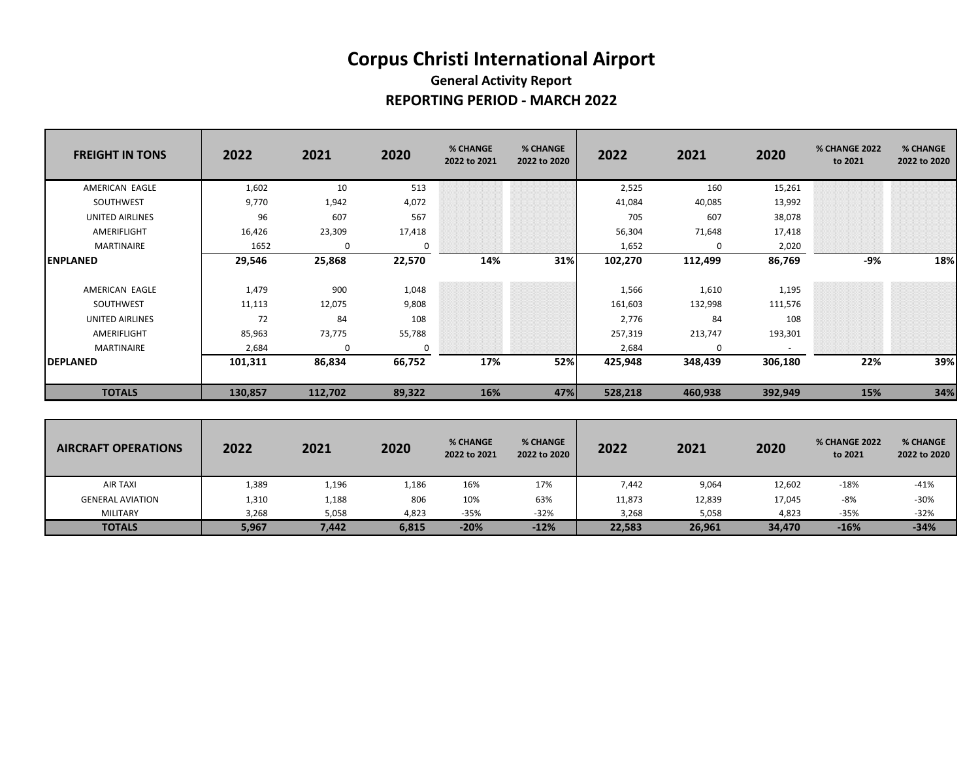## **Corpus Christi International Airport General Activity Report REPORTING PERIOD - MARCH 2022**

| <b>FREIGHT IN TONS</b> | 2022    | 2021     | 2020   | % CHANGE<br>2022 to 2021 | % CHANGE<br>2022 to 2020 | 2022    | 2021     | 2020    | <b>% CHANGE 2022</b><br>to 2021 | % CHANGE<br>2022 to 2020 |
|------------------------|---------|----------|--------|--------------------------|--------------------------|---------|----------|---------|---------------------------------|--------------------------|
| AMERICAN EAGLE         | 1,602   | 10       | 513    |                          |                          | 2,525   | 160      | 15,261  |                                 |                          |
| SOUTHWEST              | 9,770   | 1,942    | 4,072  |                          |                          | 41,084  | 40,085   | 13,992  |                                 |                          |
| UNITED AIRLINES        | 96      | 607      | 567    |                          |                          | 705     | 607      | 38,078  |                                 |                          |
| AMERIFLIGHT            | 16,426  | 23,309   | 17,418 |                          |                          | 56,304  | 71,648   | 17,418  |                                 |                          |
| MARTINAIRE             | 1652    | 0        | 0      |                          |                          | 1,652   | $\Omega$ | 2,020   |                                 |                          |
| <b>ENPLANED</b>        | 29,546  | 25,868   | 22,570 | 14%                      | 31%                      | 102,270 | 112,499  | 86,769  | -9%                             | 18%                      |
| AMERICAN EAGLE         | 1,479   | 900      | 1,048  |                          |                          | 1,566   | 1,610    | 1,195   |                                 |                          |
| SOUTHWEST              | 11,113  | 12,075   | 9,808  |                          |                          | 161,603 | 132,998  | 111,576 |                                 |                          |
| <b>UNITED AIRLINES</b> | 72      | 84       | 108    |                          |                          | 2,776   | 84       | 108     |                                 |                          |
| AMERIFLIGHT            | 85,963  | 73,775   | 55,788 |                          |                          | 257,319 | 213,747  | 193,301 |                                 |                          |
| MARTINAIRE             | 2,684   | $\Omega$ | 0      |                          |                          | 2,684   | 0        | $\sim$  |                                 |                          |
| <b>DEPLANED</b>        | 101,311 | 86,834   | 66,752 | 17%                      | 52%                      | 425,948 | 348,439  | 306,180 | 22%                             | 39%                      |
| <b>TOTALS</b>          | 130,857 | 112,702  | 89,322 | 16%                      | 47%                      | 528,218 | 460,938  | 392,949 | 15%                             | 34%                      |

| <b>AIRCRAFT OPERATIONS</b> | 2022  | 2021  | 2020  | % CHANGE<br>2022 to 2021 | % CHANGE<br>2022 to 2020 | 2022   | 2021   | 2020   | <b>% CHANGE 2022</b><br>to 2021 | % CHANGE<br>2022 to 2020 |
|----------------------------|-------|-------|-------|--------------------------|--------------------------|--------|--------|--------|---------------------------------|--------------------------|
| AIR TAXI                   | 1,389 | 1,196 | 1,186 | 16%                      | 17%                      | 7,442  | 9,064  | 12,602 | $-18%$                          | $-41%$                   |
| <b>GENERAL AVIATION</b>    | 1,310 | 1,188 | 806   | 10%                      | 63%                      | 11,873 | 12,839 | 17,045 | -8%                             | $-30%$                   |
| MILITARY                   | 3,268 | 5,058 | 4,823 | -35%                     | $-32%$                   | 3,268  | 5,058  | 4,823  | $-35%$                          | $-32%$                   |
| <b>TOTALS</b>              | 5,967 | 7,442 | 6,815 | $-20%$                   | $-12%$                   | 22,583 | 26,961 | 34,470 | $-16%$                          | $-34%$                   |